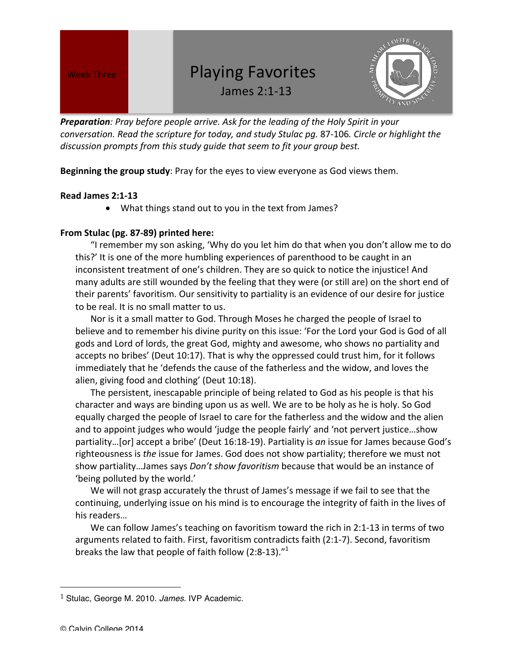## Week Three *Neek Three Neek Three Neek Three Neek Three Neek Three*

James 2:1-13



**Preparation**: Pray before people arrive. Ask for the leading of the Holy Spirit in your *conversation.* Read the scripture for today, and study Stulac pg. 87-106. Circle or highlight the discussion prompts from this study guide that seem to fit your group best.

**Beginning the group study**: Pray for the eyes to view everyone as God views them.

## **Read James 2:1-13**

• What things stand out to you in the text from James?

## **From Stulac (pg. 87-89) printed here:**

"I remember my son asking, 'Why do you let him do that when you don't allow me to do this?' It is one of the more humbling experiences of parenthood to be caught in an inconsistent treatment of one's children. They are so quick to notice the injustice! And many adults are still wounded by the feeling that they were (or still are) on the short end of their parents' favoritism. Our sensitivity to partiality is an evidence of our desire for justice to be real. It is no small matter to us.

Nor is it a small matter to God. Through Moses he charged the people of Israel to believe and to remember his divine purity on this issue: 'For the Lord your God is God of all gods and Lord of lords, the great God, mighty and awesome, who shows no partiality and accepts no bribes' (Deut 10:17). That is why the oppressed could trust him, for it follows immediately that he 'defends the cause of the fatherless and the widow, and loves the alien, giving food and clothing' (Deut 10:18).

The persistent, inescapable principle of being related to God as his people is that his character and ways are binding upon us as well. We are to be holy as he is holy. So God equally charged the people of Israel to care for the fatherless and the widow and the alien and to appoint judges who would 'judge the people fairly' and 'not pervert justice...show partiality...[or] accept a bribe' (Deut 16:18-19). Partiality is an issue for James because God's righteousness is *the* issue for James. God does not show partiality; therefore we must not show partiality...James says *Don't show favoritism* because that would be an instance of 'being polluted by the world.'

We will not grasp accurately the thrust of James's message if we fail to see that the continuing, underlying issue on his mind is to encourage the integrity of faith in the lives of his readers...

We can follow James's teaching on favoritism toward the rich in 2:1-13 in terms of two arguments related to faith. First, favoritism contradicts faith  $(2:1-7)$ . Second, favoritism breaks the law that people of faith follow  $(2:8-13).$ "

 

<sup>1</sup> Stulac, George M. 2010. *James*. IVP Academic.